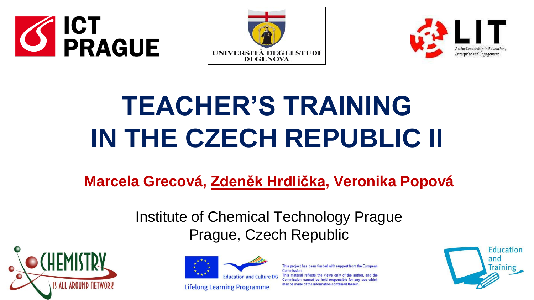





# **TEACHER'S TRAINING IN THE CZECH REPUBLIC II**

**Marcela Grecová, Zdeněk Hrdlička, Veronika Popová**

Institute of Chemical Technology Prague Prague, Czech Republic





**Lifelong Learning Programme** 

This project has been funded with support from the European Commission This material reflects the views only of the author, and the Commission cannot be held responsible for any use which may be made of the information contained therein.

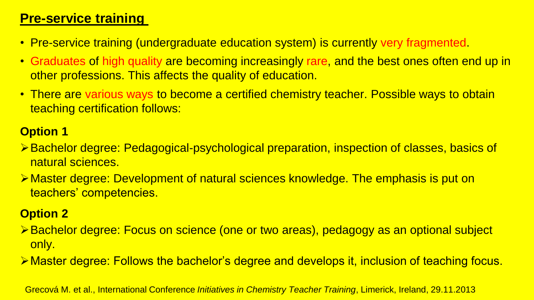# **Pre-service training**

- Pre-service training (undergraduate education system) is currently very fragmented.
- Graduates of high quality are becoming increasingly rare, and the best ones often end up in other professions. This affects the quality of education.
- There are various ways to become a certified chemistry teacher. Possible ways to obtain teaching certification follows:

### **Option 1**

- Bachelor degree: Pedagogical-psychological preparation, inspection of classes, basics of natural sciences.
- Master degree: Development of natural sciences knowledge. The emphasis is put on teachers' competencies.

#### **Option 2**

- Bachelor degree: Focus on science (one or two areas), pedagogy as an optional subject only.
- Master degree: Follows the bachelor's degree and develops it, inclusion of teaching focus.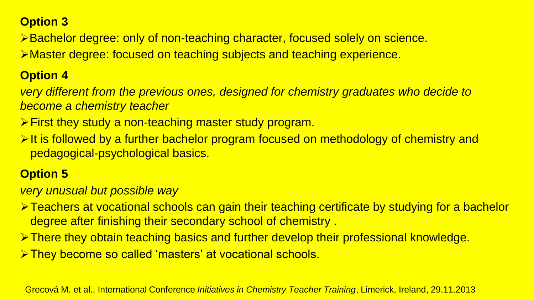#### **Option 3**

Bachelor degree: only of non-teaching character, focused solely on science.

Master degree: focused on teaching subjects and teaching experience.

#### **Option 4**

*very different from the previous ones, designed for chemistry graduates who decide to become a chemistry teacher*

- **First they study a non-teaching master study program.**
- $\triangleright$  It is followed by a further bachelor program focused on methodology of chemistry and pedagogical-psychological basics.

### **Option 5**

*very unusual but possible way* 

- **Exachers at vocational schools can gain their teaching certificate by studying for a bachelor** degree after finishing their secondary school of chemistry .
- There they obtain teaching basics and further develop their professional knowledge.
- **They become so called 'masters' at vocational schools.**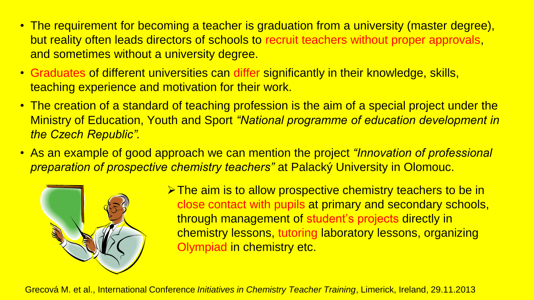- The requirement for becoming a teacher is graduation from a university (master degree), but reality often leads directors of schools to recruit teachers without proper approvals, and sometimes without a university degree.
- Graduates of different universities can differ significantly in their knowledge, skills, teaching experience and motivation for their work.
- The creation of a standard of teaching profession is the aim of a special project under the Ministry of Education, Youth and Sport *"National programme of education development in the Czech Republic".*
- As an example of good approach we can mention the project *"Innovation of professional preparation of prospective chemistry teachers"* at Palacký University in Olomouc.



 $\triangleright$  The aim is to allow prospective chemistry teachers to be in close contact with pupils at primary and secondary schools, through management of student's projects directly in chemistry lessons, tutoring laboratory lessons, organizing Olympiad in chemistry etc.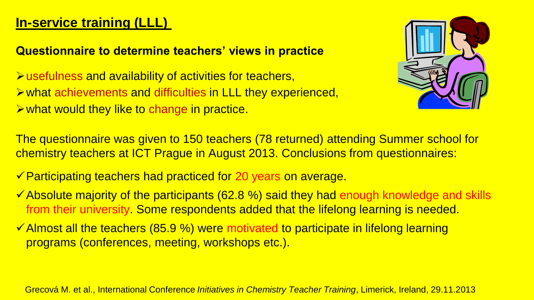# **In-service training (LLL)**

#### **Questionnaire to determine teachers' views in practice**

usefulness and availability of activities for teachers, what achievements and difficulties in LLL they experienced,  $\triangleright$  what would they like to change in practice.



The questionnaire was given to 150 teachers (78 returned) attending Summer school for chemistry teachers at ICT Prague in August 2013. Conclusions from questionnaires:

- <del>✓</del> Participating teachers had practiced for 20 years on average.
- $\checkmark$  Absolute majority of the participants (62.8 %) said they had enough knowledge and skills from their university. Some respondents added that the lifelong learning is needed.
- $\checkmark$  Almost all the teachers (85.9 %) were motivated to participate in lifelong learning programs (conferences, meeting, workshops etc.).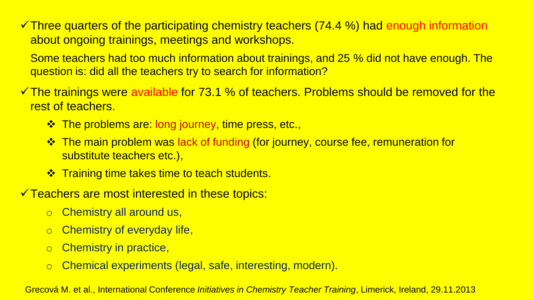$\checkmark$  Three quarters of the participating chemistry teachers (74.4 %) had enough information about ongoing trainings, meetings and workshops.

Some teachers had too much information about trainings, and 25 % did not have enough. The question is: did all the teachers try to search for information?

- $\checkmark$  The trainings were available for 73.1 % of teachers. Problems should be removed for the rest of teachers.
	- $\triangle$  The problems are: long journey, time press, etc.,
	- The main problem was lack of funding (for journey, course fee, remuneration for substitute teachers etc.),
	- $\cdot$  **Training time takes time to teach students.**
- $\checkmark$  Teachers are most interested in these topics:
	- o Chemistry all around us,
	- o Chemistry of everyday life,
	- o Chemistry in practice,
	- o Chemical experiments (legal, safe, interesting, modern).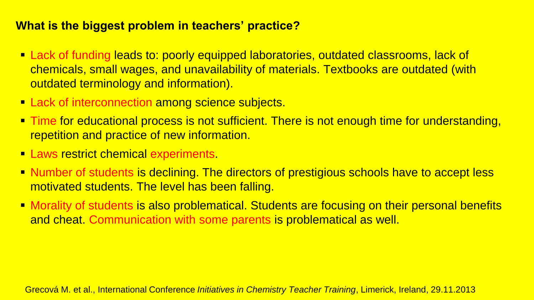#### **What is the biggest problem in teachers' practice?**

- Lack of funding leads to: poorly equipped laboratories, outdated classrooms, lack of chemicals, small wages, and unavailability of materials. Textbooks are outdated (with outdated terminology and information).
- **Lack of interconnection among science subjects.**
- **Time for educational process is not sufficient. There is not enough time for understanding,** repetition and practice of new information.
- **Laws restrict chemical experiments.**
- **Number of students is declining. The directors of prestigious schools have to accept less** motivated students. The level has been falling.
- **Morality of students is also problematical. Students are focusing on their personal benefits** and cheat. Communication with some parents is problematical as well.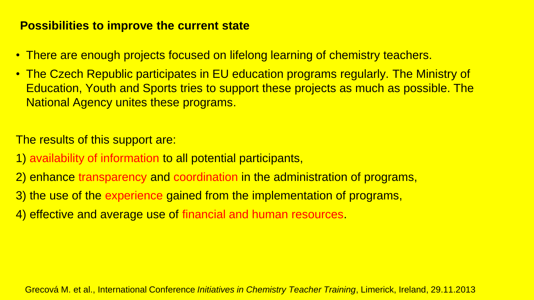#### **Possibilities to improve the current state**

- There are enough projects focused on lifelong learning of chemistry teachers.
- The Czech Republic participates in EU education programs regularly. The Ministry of Education, Youth and Sports tries to support these projects as much as possible. The National Agency unites these programs.

The results of this support are:

- 1) availability of information to all potential participants,
- 2) enhance transparency and coordination in the administration of programs,
- 3) the use of the experience gained from the implementation of programs,
- 4) effective and average use of financial and human resources.